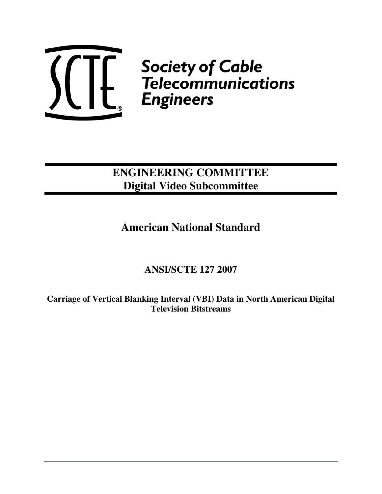

 $\left\{\left\{\left\{\right|\right\}\right\}_{c}$  Society of Cable<br> $\left\{\left.\left|\left.\right|\right|\right\}_{c}$  Telecommunications

# **ENGINEERING COMMITTEE Digital Video Subcommittee**

# **American National Standard**

# **ANSI/SCTE 127 2007**

**Carriage of Vertical Blanking Interval (VBI) Data in North American Digital Television Bitstreams**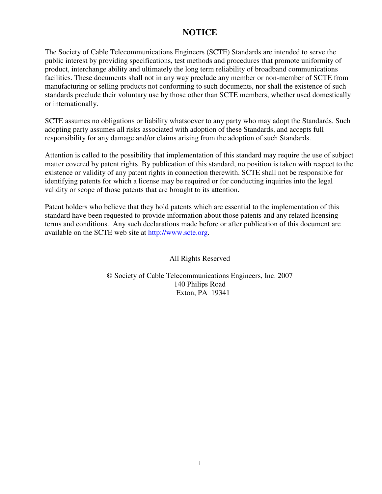## **NOTICE**

The Society of Cable Telecommunications Engineers (SCTE) Standards are intended to serve the public interest by providing specifications, test methods and procedures that promote uniformity of product, interchange ability and ultimately the long term reliability of broadband communications facilities. These documents shall not in any way preclude any member or non-member of SCTE from manufacturing or selling products not conforming to such documents, nor shall the existence of such standards preclude their voluntary use by those other than SCTE members, whether used domestically or internationally.

SCTE assumes no obligations or liability whatsoever to any party who may adopt the Standards. Such adopting party assumes all risks associated with adoption of these Standards, and accepts full responsibility for any damage and/or claims arising from the adoption of such Standards.

Attention is called to the possibility that implementation of this standard may require the use of subject matter covered by patent rights. By publication of this standard, no position is taken with respect to the existence or validity of any patent rights in connection therewith. SCTE shall not be responsible for identifying patents for which a license may be required or for conducting inquiries into the legal validity or scope of those patents that are brought to its attention.

Patent holders who believe that they hold patents which are essential to the implementation of this standard have been requested to provide information about those patents and any related licensing terms and conditions. Any such declarations made before or after publication of this document are available on the SCTE web site at http://www.scte.org.

All Rights Reserved

© Society of Cable Telecommunications Engineers, Inc. 2007 140 Philips Road Exton, PA 19341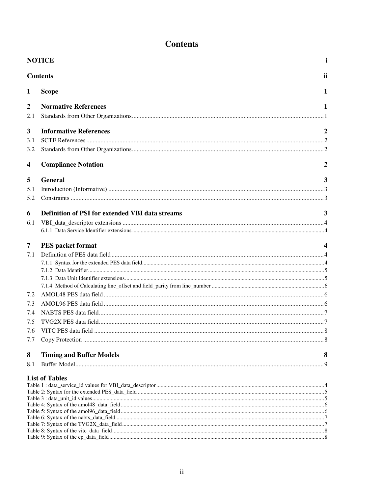## **Contents**

|                         | <b>NOTICE</b>                                          | Ť                |
|-------------------------|--------------------------------------------------------|------------------|
|                         | <b>Contents</b>                                        | ii               |
| $\mathbf{1}$            | <b>Scope</b>                                           | 1                |
| $\boldsymbol{2}$<br>2.1 | <b>Normative References</b>                            | 1                |
| 3                       | <b>Informative References</b>                          | $\boldsymbol{2}$ |
| 3.1                     |                                                        |                  |
| 3.2                     |                                                        |                  |
| 4                       | <b>Compliance Notation</b>                             | 2                |
| 5                       | <b>General</b>                                         | 3                |
| 5.1                     |                                                        |                  |
| 5.2                     |                                                        |                  |
| 6                       | <b>Definition of PSI for extended VBI data streams</b> | 3                |
| 6.1                     |                                                        |                  |
|                         |                                                        |                  |
| 7                       | <b>PES</b> packet format                               |                  |
| 7.1                     |                                                        |                  |
|                         |                                                        |                  |
|                         |                                                        |                  |
|                         |                                                        |                  |
| 7.2                     |                                                        |                  |
| 7.3                     |                                                        |                  |
| 7.4                     |                                                        |                  |
| 7.5                     |                                                        |                  |
|                         |                                                        |                  |
| 7.6<br>7.7              |                                                        |                  |
|                         |                                                        |                  |
| 8                       | <b>Timing and Buffer Models</b>                        | 8                |
| 8.1                     |                                                        |                  |
|                         | <b>List of Tables</b>                                  |                  |
|                         |                                                        |                  |
|                         |                                                        |                  |
|                         |                                                        |                  |
|                         |                                                        |                  |
|                         |                                                        |                  |
|                         |                                                        |                  |
|                         |                                                        |                  |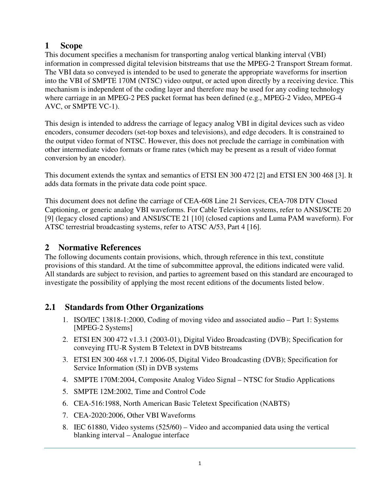**11 Scope**<br> **This document specifies a mechanism for transporting the Scoure of the VBI data so conveyed is intended to be used to the VBI of SMPTE 170M (NTSC) video output<br>
into the VBI of SMPTE 170M (NTSC) video output<br>** This document specifies a mechanism for transporting analog vertical blanking interval (VBI) information in compressed digital television bitstreams that use the MPEG-2 Transport Stream format. The VBI data so conveyed is intended to be used to generate the appropriate waveforms for insertion into the VBI of SMPTE 170M (NTSC) video output, or acted upon directly by a receiving device. This mechanism is independent of the coding layer and therefore may be used for any coding technology where carriage in an MPEG-2 PES packet format has been defined (e.g., MPEG-2 Video, MPEG-4 AVC, or SMPTE VC-1).

This design is intended to address the carriage of legacy analog VBI in digital devices such as video encoders, consumer decoders (set-top boxes and televisions), and edge decoders. It is constrained to the output video format of NTSC. However, this does not preclude the carriage in combination with other intermediate video formats or frame rates (which may be present as a result of video format conversion by an encoder).

This document extends the syntax and semantics of ETSI EN 300 472 [2] and ETSI EN 300 468 [3]. It adds data formats in the private data code point space.

This document does not define the carriage of CEA-608 Line 21 Services, CEA-708 DTV Closed Captioning, or generic analog VBI waveforms. For Cable Television systems, refer to ANSI/SCTE 20 [9] (legacy closed captions) and ANSI/SCTE 21 [10] (closed captions and Luma PAM waveform). For ATSC terrestrial broadcasting systems, refer to ATSC A/53, Part 4 [16].

## **2 Normative References**

The following documents contain provisions, which, through reference in this text, constitute provisions of this standard. At the time of subcommittee approval, the editions indicated were valid. All standards are subject to revision, and parties to agreement based on this standard are encouraged to investigate the possibility of applying the most recent editions of the documents listed below.

## **2.1 Standards from Other Organizations**

- 1. ISO/IEC 13818-1:2000, Coding of moving video and associated audio Part 1: Systems [MPEG-2 Systems]
- 2. ETSI EN 300 472 v1.3.1 (2003-01), Digital Video Broadcasting (DVB); Specification for conveying ITU-R System B Teletext in DVB bitstreams
- 3. ETSI EN 300 468 v1.7.1 2006-05, Digital Video Broadcasting (DVB); Specification for Service Information (SI) in DVB systems
- 4. SMPTE 170M:2004, Composite Analog Video Signal NTSC for Studio Applications
- 5. SMPTE 12M:2002, Time and Control Code
- 6. CEA-516:1988, North American Basic Teletext Specification (NABTS)
- 7. CEA-2020:2006, Other VBI Waveforms
- 8. IEC 61880, Video systems (525/60) Video and accompanied data using the vertical blanking interval – Analogue interface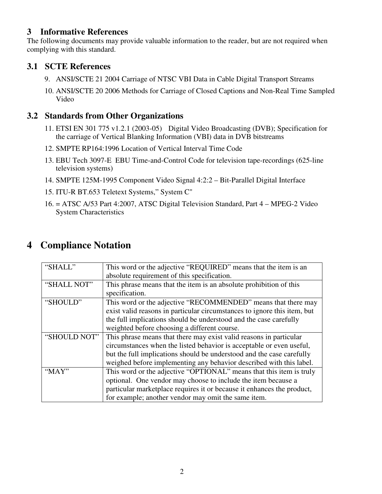## **3 Informative References**

The following documents may provide valuable information to the reader, but are not required when complying with this standard.

## **3.1 SCTE References**

- 9. ANSI/SCTE 21 2004 Carriage of NTSC VBI Data in Cable Digital Transport Streams
- 10. ANSI/SCTE 20 2006 Methods for Carriage of Closed Captions and Non-Real Time Sampled Video

## **3.2 Standards from Other Organizations**

- 11. ETSI EN 301 775 v1.2.1 (2003-05) Digital Video Broadcasting (DVB); Specification for the carriage of Vertical Blanking Information (VBI) data in DVB bitstreams
- 12. SMPTE RP164:1996 Location of Vertical Interval Time Code
- 13. EBU Tech 3097-E EBU Time-and-Control Code for television tape-recordings (625-line television systems)
- 14. SMPTE 125M-1995 Component Video Signal 4:2:2 Bit-Parallel Digital Interface
- 15. ITU-R BT.653 Teletext Systems," System C"
- 16. = ATSC A/53 Part 4:2007, ATSC Digital Television Standard, Part 4 MPEG-2 Video System Characteristics

## **4 Compliance Notation**

| "SHALL"      | This word or the adjective "REQUIRED" means that the item is an          |  |  |  |
|--------------|--------------------------------------------------------------------------|--|--|--|
|              | absolute requirement of this specification.                              |  |  |  |
| "SHALL NOT"  | This phrase means that the item is an absolute prohibition of this       |  |  |  |
|              | specification.                                                           |  |  |  |
| "SHOULD"     | This word or the adjective "RECOMMENDED" means that there may            |  |  |  |
|              | exist valid reasons in particular circumstances to ignore this item, but |  |  |  |
|              | the full implications should be understood and the case carefully        |  |  |  |
|              | weighted before choosing a different course.                             |  |  |  |
| "SHOULD NOT" | This phrase means that there may exist valid reasons in particular       |  |  |  |
|              | circumstances when the listed behavior is acceptable or even useful,     |  |  |  |
|              | but the full implications should be understood and the case carefully    |  |  |  |
|              | weighed before implementing any behavior described with this label.      |  |  |  |
| "MAY"        | This word or the adjective "OPTIONAL" means that this item is truly      |  |  |  |
|              | optional. One vendor may choose to include the item because a            |  |  |  |
|              | particular marketplace requires it or because it enhances the product,   |  |  |  |
|              | for example; another vendor may omit the same item.                      |  |  |  |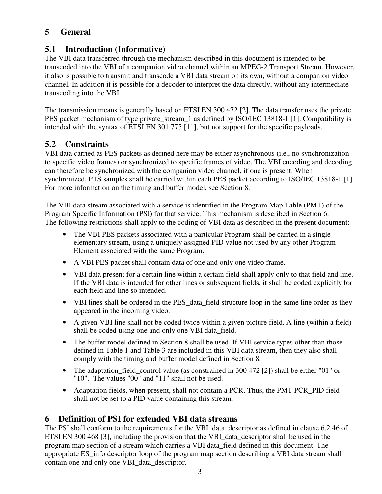## **5 General**

## **5.1 Introduction (Informative)**

The VBI data transferred through the mechanism described in this document is intended to be transcoded into the VBI of a companion video channel within an MPEG-2 Transport Stream. However, it also is possible to transmit and transcode a VBI data stream on its own, without a companion video channel. In addition it is possible for a decoder to interpret the data directly, without any intermediate transcoding into the VBI.

The transmission means is generally based on ETSI EN 300 472 [2]. The data transfer uses the private PES packet mechanism of type private stream 1 as defined by ISO/IEC 13818-1 [1]. Compatibility is intended with the syntax of ETSI EN 301 775 [11], but not support for the specific payloads.

## **5.2 Constraints**

VBI data carried as PES packets as defined here may be either asynchronous (i.e., no synchronization to specific video frames) or synchronized to specific frames of video. The VBI encoding and decoding can therefore be synchronized with the companion video channel, if one is present. When synchronized, PTS samples shall be carried within each PES packet according to ISO/IEC 13818-1 [1]. For more information on the timing and buffer model, see Section 8.

The VBI data stream associated with a service is identified in the Program Map Table (PMT) of the Program Specific Information (PSI) for that service. This mechanism is described in Section 6. The following restrictions shall apply to the coding of VBI data as described in the present document:

- The VBI PES packets associated with a particular Program shall be carried in a single elementary stream, using a uniquely assigned PID value not used by any other Program Element associated with the same Program.
- A VBI PES packet shall contain data of one and only one video frame.
- VBI data present for a certain line within a certain field shall apply only to that field and line. If the VBI data is intended for other lines or subsequent fields, it shall be coded explicitly for each field and line so intended.
- VBI lines shall be ordered in the PES\_data\_field structure loop in the same line order as they appeared in the incoming video.
- A given VBI line shall not be coded twice within a given picture field. A line (within a field) shall be coded using one and only one VBI data\_field.
- The buffer model defined in Section 8 shall be used. If VBI service types other than those defined in Table 1 and Table 3 are included in this VBI data stream, then they also shall comply with the timing and buffer model defined in Section 8.
- The adaptation\_field\_control value (as constrained in 300 472 [2]) shall be either "01" or "10". The values "00" and "11" shall not be used.
- Adaptation fields, when present, shall not contain a PCR. Thus, the PMT PCR\_PID field shall not be set to a PID value containing this stream.

## **6 Definition of PSI for extended VBI data streams**

The PSI shall conform to the requirements for the VBI\_data\_descriptor as defined in clause 6.2.46 of ETSI EN 300 468 [3], including the provision that the VBI\_data\_descriptor shall be used in the program map section of a stream which carries a VBI data\_field defined in this document. The appropriate ES\_info descriptor loop of the program map section describing a VBI data stream shall contain one and only one VBI\_data\_descriptor.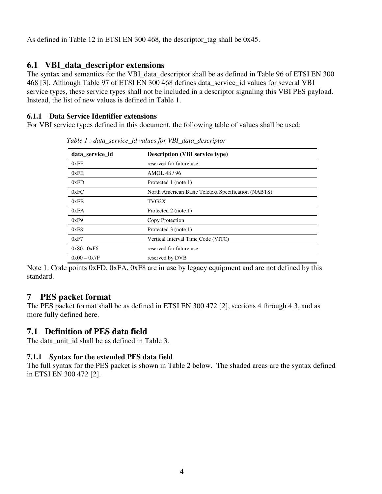As defined in Table 12 in ETSI EN 300 468, the descriptor\_tag shall be 0x45.

## **6.1 VBI\_data\_descriptor extensions**

The syntax and semantics for the VBI data descriptor shall be as defined in Table 96 of ETSI EN 300 468 [3]. Although Table 97 of ETSI EN 300 468 defines data\_service\_id values for several VBI service types, these service types shall not be included in a descriptor signaling this VBI PES payload. Instead, the list of new values is defined in Table 1.

#### **6.1.1 Data Service Identifier extensions**

For VBI service types defined in this document, the following table of values shall be used:

| data_service_id | <b>Description (VBI service type)</b>               |
|-----------------|-----------------------------------------------------|
| 0xFF            | reserved for future use                             |
| 0xFE            | AMOL 48/96                                          |
| 0xFD            | Protected 1 (note 1)                                |
| 0xFC            | North American Basic Teletext Specification (NABTS) |
| 0xFB            | TVG2X                                               |
| 0xFA            | Protected 2 (note 1)                                |
| 0xF9            | Copy Protection                                     |
| 0xF8            | Protected 3 (note 1)                                |
| 0xF7            | Vertical Interval Time Code (VITC)                  |
| 0x80.0xF6       | reserved for future use                             |
| $0x00 - 0x7F$   | reserved by DVB                                     |

*Table 1 : data\_service\_id values for VBI\_data\_descriptor*

Note 1: Code points 0xFD, 0xFA, 0xF8 are in use by legacy equipment and are not defined by this standard.

#### **7 PES packet format**

The PES packet format shall be as defined in ETSI EN 300 472 [2], sections 4 through 4.3, and as more fully defined here.

#### **7.1 Definition of PES data field**

The data unit id shall be as defined in Table 3.

#### **7.1.1 Syntax for the extended PES data field**

The full syntax for the PES packet is shown in Table 2 below. The shaded areas are the syntax defined in ETSI EN 300 472 [2].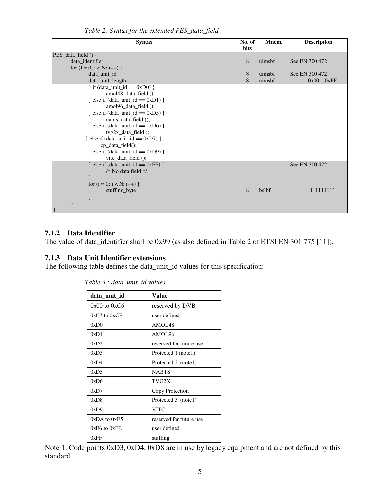| <b>Syntax</b>                         | No. of<br>bits | Mnem.  | <b>Description</b> |
|---------------------------------------|----------------|--------|--------------------|
| PES_data_field () {                   |                |        |                    |
| data_identifier                       | 8              | uimsbf | See EN 300 472     |
| for $(I = 0; i < N; i++)$ {           |                |        |                    |
| data_unit_id                          | 8              | uimsbf | See EN 300 472     |
| data_unit_length                      | 8              | uimsbf | 0x000xFF           |
| $\}$ if (data_unit_id == 0xD0) {      |                |        |                    |
| amol48_data_field();                  |                |        |                    |
| } else if (data_unit_id == $0xD1$ ) { |                |        |                    |
| amol96_data_field();                  |                |        |                    |
| } else if (data_unit_id == $0xD5$ ) { |                |        |                    |
| nabts_data_field ();                  |                |        |                    |
| } else if (data_unit_id == $0xD6$ ) { |                |        |                    |
| $tvg2x_data_field()$ ;                |                |        |                    |
| l else if (data_unit_id == $0xD7$ ) { |                |        |                    |
| $cp\_data\_field$ ;                   |                |        |                    |
| } else if (data_unit_id == $0xD9$ ) { |                |        |                    |
| vite_data_field $()$ ;                |                |        |                    |
| } else if (data_unit_id == $0xFF$ ) { |                |        | See EN 300 472     |
| /* No data field */                   |                |        |                    |
|                                       |                |        |                    |
| for $(i = 0; i < N; i++)$ {           |                |        |                    |
| stuffing_byte                         | 8              | bslbf  | '11111111'         |
|                                       |                |        |                    |
|                                       |                |        |                    |
|                                       |                |        |                    |

*Table 2: Syntax for the extended PES\_data\_field*

#### **7.1.2 Data Identifier**

The value of data\_identifier shall be 0x99 (as also defined in Table 2 of ETSI EN 301 775 [11]).

#### **7.1.3 Data Unit Identifier extensions**

The following table defines the data\_unit\_id values for this specification:

| data_unit_id     | Value                   |
|------------------|-------------------------|
| $0x00$ to $0xC6$ | reserved by DVB         |
| $0xC7$ to $0xCF$ | user defined            |
| 0xD0             | AMOL <sub>48</sub>      |
| 0xD1             | AMOL96                  |
| 0xD2             | reserved for future use |
| 0xD3             | Protected 1 (note1)     |
| 0xD4             | Protected 2 (note1)     |
| 0xD5             | <b>NABTS</b>            |
| 0xD6             | TVG2X                   |
| 0xD7             | Copy Protection         |
| 0xD8             | Protected 3 (notel)     |
| 0xD9             | VITC                    |
| $0xDA$ to $0xE5$ | reserved for future use |
| $0xE6$ to $0xFE$ | user defined            |
| 0xFF             | stuffing                |

*Table 3 : data\_unit\_id values*

Note 1: Code points 0xD3, 0xD4, 0xD8 are in use by legacy equipment and are not defined by this standard.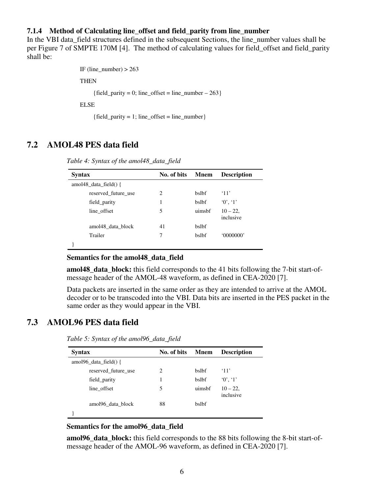#### **7.1.4 Method of Calculating line\_offset and field\_parity from line\_number**

In the VBI data\_field structures defined in the subsequent Sections, the line\_number values shall be per Figure 7 of SMPTE 170M [4]. The method of calculating values for field\_offset and field\_parity shall be:

```
IF (line_number) > 263
```
THEN

{field\_parity = 0; line\_offset = line\_number  $- 263$ }

ELSE

 ${field$ <sub>parity</sub> = 1; line\_offset = line\_number}

### **7.2 AMOL48 PES data field**

| <b>Syntax</b> |                               | No. of bits | <b>M</b> nem | <b>Description</b>     |
|---------------|-------------------------------|-------------|--------------|------------------------|
|               | amol $48$ data field() {      |             |              |                        |
|               | reserved future use           | 2           | bslbf        | $^{\circ}11'$          |
|               | field_parity                  | 1           | bslbf        | 0', 1'                 |
|               | line_offset                   | 5           | uimsbf       | $10 - 22$<br>inclusive |
|               | amol <sub>48</sub> data block | 41          | bslbf        |                        |
|               | Trailer                       | 7           | bslbf        | 0000000                |
|               |                               |             |              |                        |

*Table 4: Syntax of the amol48\_data\_field*

#### **Semantics for the amol48\_data\_field**

**amol48\_data\_block:** this field corresponds to the 41 bits following the 7-bit start-ofmessage header of the AMOL-48 waveform, as defined in CEA-2020 [7].

Data packets are inserted in the same order as they are intended to arrive at the AMOL decoder or to be transcoded into the VBI. Data bits are inserted in the PES packet in the same order as they would appear in the VBI.

#### **7.3 AMOL96 PES data field**

| <b>Syntax</b>             | No. of bits | <b>M</b> nem | <b>Description</b>     |
|---------------------------|-------------|--------------|------------------------|
| amol96 data field $() \{$ |             |              |                        |
| reserved future use       | 2           | <b>bslbf</b> | $^{\circ}11'$          |
| field_parity              |             | <b>bslbf</b> | 0', 1'                 |
| line offset               | 5           | uimsbf       | $10 - 22$<br>inclusive |
| amol96 data block         | 88          | <b>bslbf</b> |                        |
|                           |             |              |                        |

*Table 5: Syntax of the amol96\_data\_field*

#### **Semantics for the amol96\_data\_field**

**amol96\_data\_block:** this field corresponds to the 88 bits following the 8-bit start-ofmessage header of the AMOL-96 waveform, as defined in CEA-2020 [7].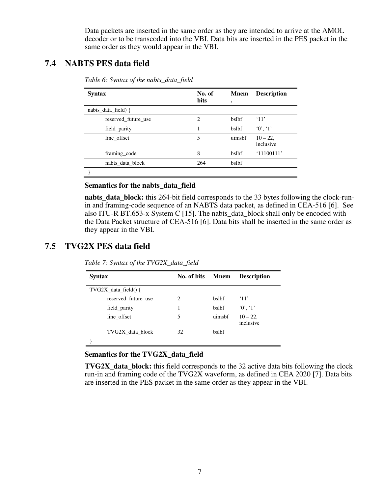Data packets are inserted in the same order as they are intended to arrive at the AMOL decoder or to be transcoded into the VBI. Data bits are inserted in the PES packet in the same order as they would appear in the VBI.

### **7.4 NABTS PES data field**

| <b>Syntax</b>       | No. of<br><b>bits</b> | <b>Mnem</b><br>٠ | <b>Description</b>       |
|---------------------|-----------------------|------------------|--------------------------|
| nabts_data_field) { |                       |                  |                          |
| reserved future use | 2                     | bslbf            | $^{\circ}11'$            |
| field parity        |                       | bslbf            | 0', 1'                   |
| line offset         | 5                     | uimsbf           | $10 - 22$ ,<br>inclusive |
| framing_code        | 8                     | bslbf            | '11100111'               |
| nabts data block    | 264                   | bslbf            |                          |
|                     |                       |                  |                          |

*Table 6: Syntax of the nabts\_data\_field*

#### **Semantics for the nabts\_data\_field**

**nabts\_data\_block:** this 264-bit field corresponds to the 33 bytes following the clock-runin and framing-code sequence of an NABTS data packet, as defined in CEA-516 [6]. See also ITU-R BT.653-x System C [15]. The nabts data block shall only be encoded with the Data Packet structure of CEA-516 [6]. Data bits shall be inserted in the same order as they appear in the VBI.

#### **7.5 TVG2X PES data field**

| <b>Syntax</b> |                        | No. of bits                 | <b>Mnem</b>  | <b>Description</b>       |
|---------------|------------------------|-----------------------------|--------------|--------------------------|
|               | $TVG2X$ data field() { |                             |              |                          |
|               | reserved future use    | $\mathcal{D}_{\mathcal{L}}$ | <b>bslbf</b> | $^{\circ}11'$            |
|               | field parity           | 1                           | <b>bslbf</b> | 0', 1'                   |
|               | line_offset            | 5                           | uimsbf       | $10 - 22$ ,<br>inclusive |
|               | TVG2X data block       | 32                          | <b>bslbf</b> |                          |
|               |                        |                             |              |                          |
|               |                        |                             |              |                          |

*Table 7: Syntax of the TVG2X\_data\_field*

#### **Semantics for the TVG2X\_data\_field**

**TVG2X\_data\_block:** this field corresponds to the 32 active data bits following the clock run-in and framing code of the TVG2X waveform, as defined in CEA 2020 [7]. Data bits are inserted in the PES packet in the same order as they appear in the VBI.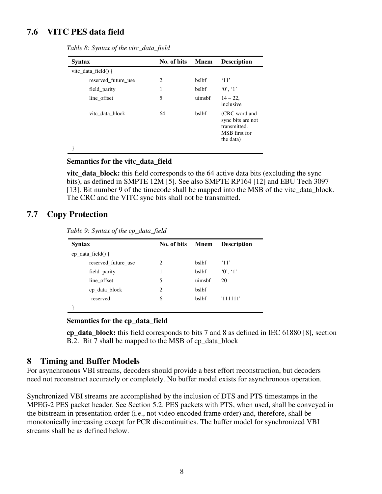### **7.6 VITC PES data field**

| <b>Syntax</b>           | No. of bits                   | <b>M</b> nem | <b>Description</b>                                                               |
|-------------------------|-------------------------------|--------------|----------------------------------------------------------------------------------|
| vite data field $() \{$ |                               |              |                                                                                  |
| reserved future use     | $\mathfrak{D}_{\mathfrak{p}}$ | <b>bslbf</b> | $^{\circ}11'$                                                                    |
| field_parity            | 1                             | bslbf        | 0', 1'                                                                           |
| line_offset             | 5                             | uimsbf       | $14 - 22$ ,<br>inclusive                                                         |
| vite data block         | 64                            | bslbf        | (CRC word and<br>sync bits are not<br>transmitted.<br>MSB first for<br>the data) |
|                         |                               |              |                                                                                  |

*Table 8: Syntax of the vitc\_data\_field*

#### **Semantics for the vitc\_data\_field**

**vitc\_data\_block:** this field corresponds to the 64 active data bits (excluding the sync bits), as defined in SMPTE 12M [5]. See also SMPTE RP164 [12] and EBU Tech 3097 [13]. Bit number 9 of the timecode shall be mapped into the MSB of the vitc\_data\_block. The CRC and the VITC sync bits shall not be transmitted.

#### **7.7 Copy Protection**

*Table 9: Syntax of the cp\_data\_field*

| <b>Syntax</b>         | No. of bits | Mnem         | <b>Description</b> |  |  |
|-----------------------|-------------|--------------|--------------------|--|--|
| $cp\_data\_field()$ { |             |              |                    |  |  |
| reserved future use   | 2           | <b>bslbf</b> | $^{\circ}11'$      |  |  |
| field_parity          | 1           | bslbf        | $0'$ , $1'$        |  |  |
| line offset           | 5           | uimsbf       | 20                 |  |  |
| cp_data_block         | 2           | bslbf        |                    |  |  |
| reserved              | 6           | <b>bslbf</b> | 111111'            |  |  |
|                       |             |              |                    |  |  |

**Semantics for the cp\_data\_field**

**cp\_data\_block:** this field corresponds to bits 7 and 8 as defined in IEC 61880 [8], section B.2. Bit 7 shall be mapped to the MSB of cp\_data\_block

#### **8 Timing and Buffer Models**

For asynchronous VBI streams, decoders should provide a best effort reconstruction, but decoders need not reconstruct accurately or completely. No buffer model exists for asynchronous operation.

Synchronized VBI streams are accomplished by the inclusion of DTS and PTS timestamps in the MPEG-2 PES packet header. See Section 5.2. PES packets with PTS, when used, shall be conveyed in the bitstream in presentation order (i.e., not video encoded frame order) and, therefore, shall be monotonically increasing except for PCR discontinuities. The buffer model for synchronized VBI streams shall be as defined below.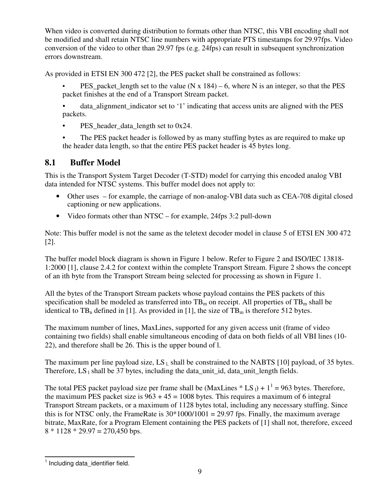When video is converted during distribution to formats other than NTSC, this VBI encoding shall not be modified and shall retain NTSC line numbers with appropriate PTS timestamps for 29.97fps. Video conversion of the video to other than 29.97 fps (e.g. 24fps) can result in subsequent synchronization errors downstream.

As provided in ETSI EN 300 472 [2], the PES packet shall be constrained as follows:

- PES packet length set to the value (N x  $184$ ) 6, where N is an integer, so that the PES packet finishes at the end of a Transport Stream packet.
- data\_alignment\_indicator set to '1' indicating that access units are aligned with the PES packets.
- PES\_header\_data\_length set to 0x24.
- The PES packet header is followed by as many stuffing bytes as are required to make up the header data length, so that the entire PES packet header is 45 bytes long.

## **8.1 Buffer Model**

This is the Transport System Target Decoder (T-STD) model for carrying this encoded analog VBI data intended for NTSC systems. This buffer model does not apply to:

- Other uses for example, the carriage of non-analog-VBI data such as CEA-708 digital closed captioning or new applications.
- Video formats other than NTSC for example, 24fps 3:2 pull-down

Note: This buffer model is not the same as the teletext decoder model in clause 5 of ETSI EN 300 472 [2].

The buffer model block diagram is shown in Figure 1 below. Refer to Figure 2 and ISO/IEC 13818- 1:2000 [1], clause 2.4.2 for context within the complete Transport Stream. Figure 2 shows the concept of an ith byte from the Transport Stream being selected for processing as shown in Figure 1.

All the bytes of the Transport Stream packets whose payload contains the PES packets of this specification shall be modeled as transferred into  $TB<sub>m</sub>$  on receipt. All properties of  $TB<sub>m</sub>$  shall be identical to  $TB_n$  defined in [1]. As provided in [1], the size of  $TB_m$  is therefore 512 bytes.

The maximum number of lines, MaxLines, supported for any given access unit (frame of video containing two fields) shall enable simultaneous encoding of data on both fields of all VBI lines (10- 22), and therefore shall be 26. This is the upper bound of l.

The maximum per line payload size,  $LS_l$ , shall be constrained to the NABTS [10] payload, of 35 bytes. Therefore,  $LS_1$  shall be 37 bytes, including the data unit id, data unit length fields.

The total PES packet payload size per frame shall be (MaxLines  $*$  LS<sub>1</sub>) + 1<sup>1</sup> = 963 bytes. Therefore, the maximum PES packet size is  $963 + 45 = 1008$  bytes. This requires a maximum of 6 integral Transport Stream packets, or a maximum of 1128 bytes total, including any necessary stuffing. Since this is for NTSC only, the FrameRate is  $30*1000/1001 = 29.97$  fps. Finally, the maximum average bitrate, MaxRate, for a Program Element containing the PES packets of [1] shall not, therefore, exceed  $8 * 1128 * 29.97 = 270,450$  bps.

<sup>&</sup>lt;sup>1</sup> Including data\_identifier field.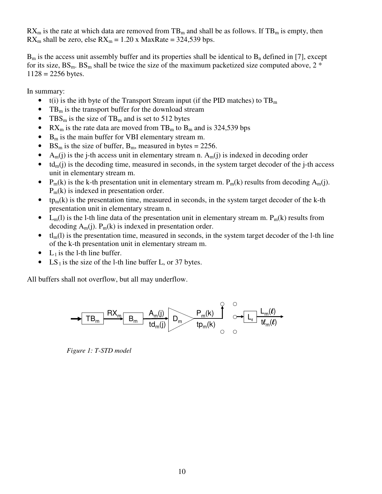$RX_m$  is the rate at which data are removed from TB<sub>m</sub> and shall be as follows. If TB<sub>m</sub> is empty, then  $RX_m$  shall be zero, else  $RX_m = 1.20$  x MaxRate = 324,539 bps.

 $B<sub>m</sub>$  is the access unit assembly buffer and its properties shall be identical to  $B<sub>n</sub>$  defined in [7], except for its size,  $BS_m$ .  $BS_m$  shall be twice the size of the maximum packetized size computed above, 2  $*$  $1128 = 2256$  bytes.

In summary:

- t(i) is the ith byte of the Transport Stream input (if the PID matches) to  $TB<sub>m</sub>$
- TB<sub>m</sub> is the transport buffer for the download stream
- TBS<sub>m</sub> is the size of TB<sub>m</sub> and is set to 512 bytes
- RX<sub>m</sub> is the rate data are moved from TB<sub>m</sub> to B<sub>m</sub> and is 324,539 bps
- $\bullet$  B<sub>m</sub> is the main buffer for VBI elementary stream m.
- BS<sub>m</sub> is the size of buffer, B<sub>m</sub>, measured in bytes = 2256.
- $A_m(i)$  is the j-th access unit in elementary stream n.  $A_m(i)$  is indexed in decoding order
- $\bullet$  td<sub>m</sub>(j) is the decoding time, measured in seconds, in the system target decoder of the j-th access unit in elementary stream m.
- $P_m(k)$  is the k-th presentation unit in elementary stream m.  $P_m(k)$  results from decoding  $A_m(i)$ .  $P_m(k)$  is indexed in presentation order.
- $tp_m(k)$  is the presentation time, measured in seconds, in the system target decoder of the k-th presentation unit in elementary stream n.
- $L_m(l)$  is the l-th line data of the presentation unit in elementary stream m.  $P_m(k)$  results from decoding  $A_m(j)$ .  $P_m(k)$  is indexed in presentation order.
- $\bullet$  tl<sub>m</sub>(l) is the presentation time, measured in seconds, in the system target decoder of the l-th line of the k-th presentation unit in elementary stream m.
- L<sub>1</sub> is the l-th line buffer.
- LS<sub>1</sub> is the size of the l-th line buffer L, or 37 bytes.

All buffers shall not overflow, but all may underflow.



*Figure 1: T-STD model*